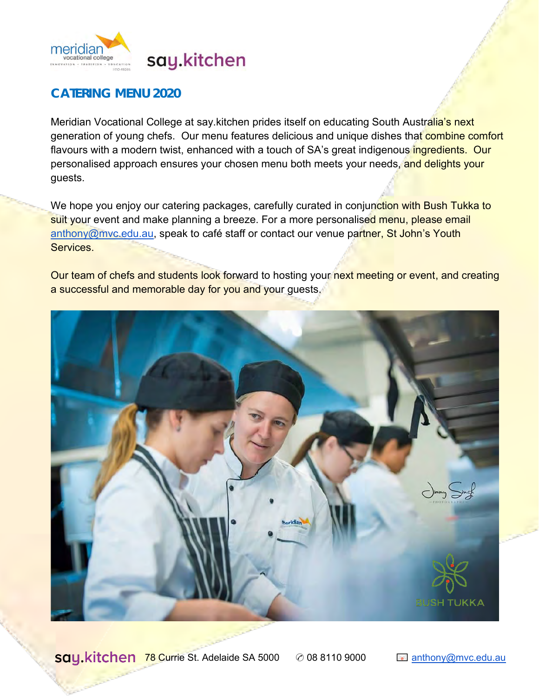

## **CATERING MENU 2020**

Meridian Vocational College at say kitchen prides itself on educating South Australia's next generation of young chefs. Our menu features delicious and unique dishes that combine comfort flavours with a modern twist, enhanced with a touch of SA's great indigenous ingredients. Our personalised approach ensures your chosen menu both meets your needs, and delights your guests.

We hope you enjoy our catering packages, carefully curated in conjunction with Bush Tukka to suit your event and make planning a breeze. For a more personalised menu, please email [anthony@mvc.edu.au,](mailto:anthony@mvc.edu.au) speak to café staff or contact our venue partner, St John's Youth Services.

Our team of chefs and students look forward to hosting your next meeting or event, and creating a successful and memorable day for you and your guests.



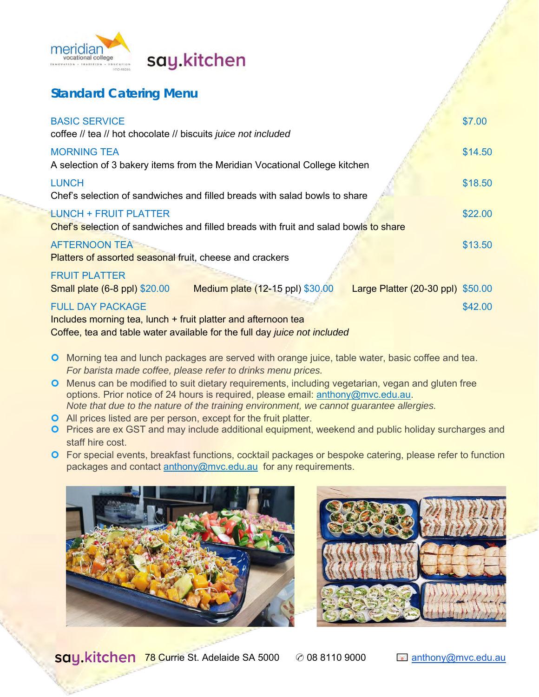

# say.kitchen

## **Standard Catering Menu**

| <b>BASIC SERVICE</b><br>coffee // tea // hot chocolate // biscuits juice not included                                | \$7.00  |
|----------------------------------------------------------------------------------------------------------------------|---------|
| <b>MORNING TEA</b><br>A selection of 3 bakery items from the Meridian Vocational College kitchen                     | \$14.50 |
| <b>LUNCH</b><br>Chef's selection of sandwiches and filled breads with salad bowls to share                           | \$18.50 |
| <b>LUNCH + FRUIT PLATTER</b><br>Chef's selection of sandwiches and filled breads with fruit and salad bowls to share | \$22.00 |
| <b>AFTERNOON TEA</b><br>Platters of assorted seasonal fruit, cheese and crackers                                     | \$13.50 |
| <b>FRUIT PLATTER</b>                                                                                                 |         |
| Medium plate (12-15 ppl) \$30,00<br>Small plate (6-8 ppl) \$20.00<br>Large Platter (20-30 ppl) \$50.00               |         |
| <b>FULL DAY PACKAGE</b><br>Includes morning tea, lunch + fruit platter and afternoon tea                             | \$42.00 |

Coffee, tea and table water available for the full day *juice not included*

- **O** Morning tea and lunch packages are served with orange juice, table water, basic coffee and tea. *For barista made coffee, please refer to drinks menu prices.*
- **O** Menus can be modified to suit dietary requirements, including vegetarian, vegan and gluten free options. Prior notice of 24 hours is required, please email: [anthony@mvc.edu.au.](mailto:anthony@mvc.edu.au) *Note that due to the nature of the training environment, we cannot guarantee allergies.*
- All prices listed are per person, except for the fruit platter.
- **O** Prices are ex GST and may include additional equipment, weekend and public holiday surcharges and staff hire cost.
- For special events, breakfast functions, cocktail packages or bespoke catering, please refer to function packages and contact [anthony@mvc.edu.au](mailto:anthony@mvc.edu.au) for any requirements.



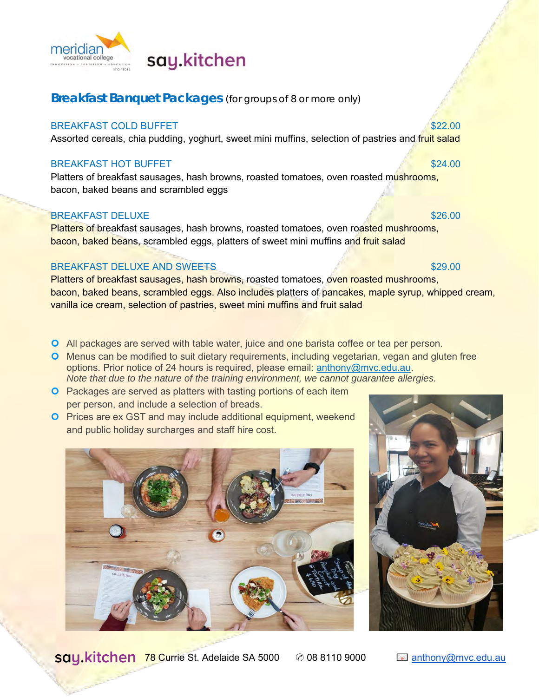

# say.kitchen

## **Breakfast Banquet Packages** (for groups of 8 or more only)

## BREAKFAST COLD BUFFET **\$22.00** \$22.00

Assorted cereals, chia pudding, yoghurt, sweet mini muffins, selection of pastries and fruit salad

### BREAKFAST HOT BUFFET **\$24.00** \$24.00

Platters of breakfast sausages, hash browns, roasted tomatoes, oven roasted mushrooms, bacon, baked beans and scrambled eggs

## BREAKFAST DELUXE **\$26.00** \$26.00

Platters of breakfast sausages, hash browns, roasted tomatoes, oven roasted mushrooms, bacon, baked beans, scrambled eggs, platters of sweet mini muffins and fruit salad

## BREAKFAST DELUXE AND SWEETS **\$29.00** \$29.00

Platters of breakfast sausages, hash browns, roasted tomatoes, oven roasted mushrooms, bacon, baked beans, scrambled eggs. Also includes platters of pancakes, maple syrup, whipped cream, vanilla ice cream, selection of pastries, sweet mini muffins and fruit salad

- All packages are served with table water, juice and one barista coffee or tea per person.
- **O** Menus can be modified to suit dietary requirements, including vegetarian, vegan and gluten free options. Prior notice of 24 hours is required, please email: [anthony@mvc.edu.au.](mailto:anthony@mvc.edu.au) *Note that due to the nature of the training environment, we cannot guarantee allergies.*
- **O** Packages are served as platters with tasting portions of each item per person, and include a selection of breads.
- **O** Prices are ex GST and may include additional equipment, weekend and public holiday surcharges and staff hire cost.





78 Currie St. Adelaide SA 5000 ✆ 08 8110 9000 [anthony@mvc.edu.au](mailto:anthony@mvc.edu.au)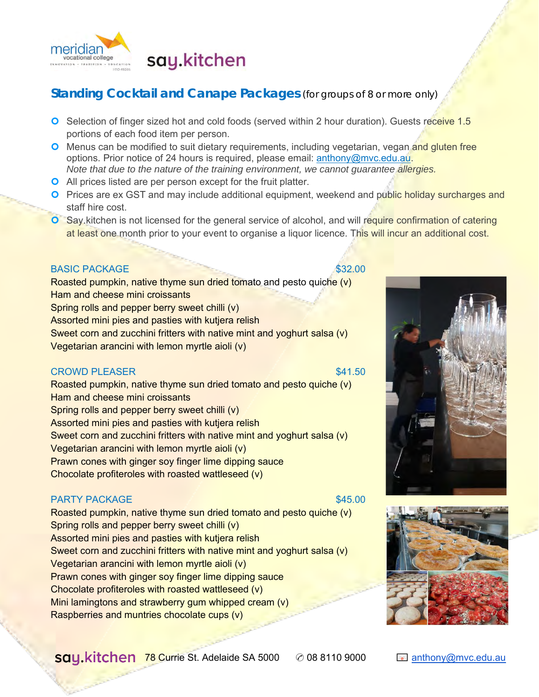

## **Standing Cocktail and Canape Packages** (for groups of 8 or more only)

- **O** Selection of finger sized hot and cold foods (served within 2 hour duration). Guests receive 1.5 portions of each food item per person.
- **O** Menus can be modified to suit dietary requirements, including vegetarian, vegan and gluten free options. Prior notice of 24 hours is required, please email: [anthony@mvc.edu.au.](mailto:anthony@mvc.edu.au) *Note that due to the nature of the training environment, we cannot guarantee allergies.*
- **O** All prices listed are per person except for the fruit platter.
- **O** Prices are ex GST and may include additional equipment, weekend and public holiday surcharges and staff hire cost.
- Say.kitchen is not licensed for the general service of alcohol, and will require confirmation of catering at least one month prior to your event to organise a liquor licence. This will incur an additional cost.

## BASIC PACKAGE \$32.00

Roasted pumpkin, native thyme sun dried tomato and pesto quiche (v) Ham and cheese mini croissants Spring rolls and pepper berry sweet chilli (v) Assorted mini pies and pasties with kutjera relish Sweet corn and zucchini fritters with native mint and yoghurt salsa (v) Vegetarian arancini with lemon myrtle aioli (v)

### **CROWD PLEASER** \$41.50

Roasted pumpkin, native thyme sun dried tomato and pesto quiche (v) Ham and cheese mini croissants Spring rolls and pepper berry sweet chilli (v) Assorted mini pies and pasties with kutjera relish Sweet corn and zucchini fritters with native mint and yoghurt salsa (v) Vegetarian arancini with lemon myrtle aioli (v) Prawn cones with ginger soy finger lime dipping sauce Chocolate profiteroles with roasted wattleseed (v)

### PARTY PACKAGE \$45.00

Roasted pumpkin, native thyme sun dried tomato and pesto quiche (v) Spring rolls and pepper berry sweet chilli (v) Assorted mini pies and pasties with kutjera relish Sweet corn and zucchini fritters with native mint and yoghurt salsa (v) Vegetarian arancini with lemon myrtle aioli (v) Prawn cones with ginger soy finger lime dipping sauce Chocolate profiteroles with roasted wattleseed (v) Mini lamingtons and strawberry gum whipped cream (v) Raspberries and muntries chocolate cups (v)